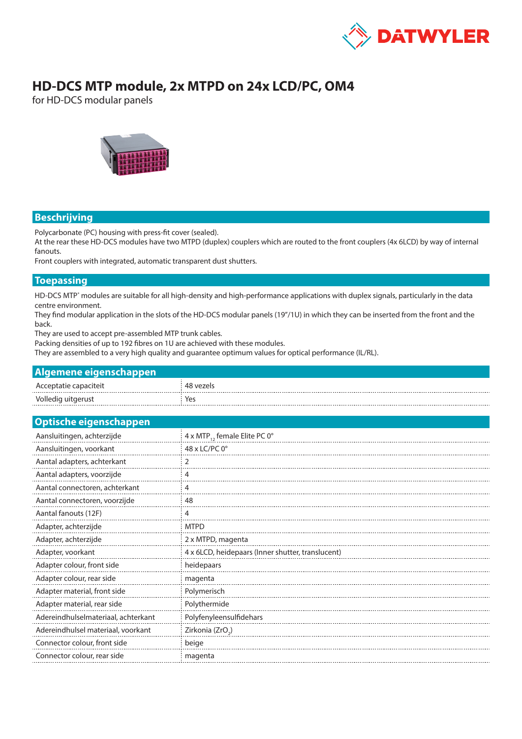

# **HD-DCS MTP module, 2x MTPD on 24x LCD/PC, OM4**

for HD-DCS modular panels



# **Beschrijving**

Polycarbonate (PC) housing with press-fit cover (sealed).

At the rear these HD-DCS modules have two MTPD (duplex) couplers which are routed to the front couplers (4x 6LCD) by way of internal fanouts.

Front couplers with integrated, automatic transparent dust shutters.

#### **Toepassing**

HD-DCS MTP<sup>®</sup> modules are suitable for all high-density and high-performance applications with duplex signals, particularly in the data centre environment.

They find modular application in the slots of the HD-DCS modular panels (19"/1U) in which they can be inserted from the front and the back.

They are used to accept pre-assembled MTP trunk cables.

Packing densities of up to 192 fibres on 1U are achieved with these modules.

They are assembled to a very high quality and guarantee optimum values for optical performance (IL/RL).

| Algemene eigenschappen |  |
|------------------------|--|
|                        |  |

| Acceptatie capaciteit | 48 vezels |
|-----------------------|-----------|
| Volledig uitgerust    | Yes       |

| <b>Optische eigenschappen</b>       |                                                   |
|-------------------------------------|---------------------------------------------------|
| Aansluitingen, achterzijde          | 4 x MTP <sub>12</sub> female Elite PC 0°          |
| Aansluitingen, voorkant             | 48 x LC/PC 0°                                     |
| Aantal adapters, achterkant         |                                                   |
| Aantal adapters, voorzijde          | 4                                                 |
| Aantal connectoren, achterkant      | 4                                                 |
| Aantal connectoren, voorzijde       | 48                                                |
| Aantal fanouts (12F)                | 4                                                 |
| Adapter, achterzijde                | <b>MTPD</b>                                       |
| Adapter, achterzijde                | 2 x MTPD, magenta                                 |
| Adapter, voorkant                   | 4 x 6LCD, heidepaars (Inner shutter, translucent) |
| Adapter colour, front side          | heidepaars                                        |
| Adapter colour, rear side           | magenta                                           |
| Adapter material, front side        | Polymerisch                                       |
| Adapter material, rear side         | Polythermide                                      |
| Adereindhulselmateriaal, achterkant | Polyfenyleensulfidehars                           |
| Adereindhulsel materiaal, voorkant  | Zirkonia (ZrO <sub>2</sub> )                      |
| Connector colour, front side        | beige                                             |
| Connector colour, rear side         | magenta                                           |
|                                     |                                                   |